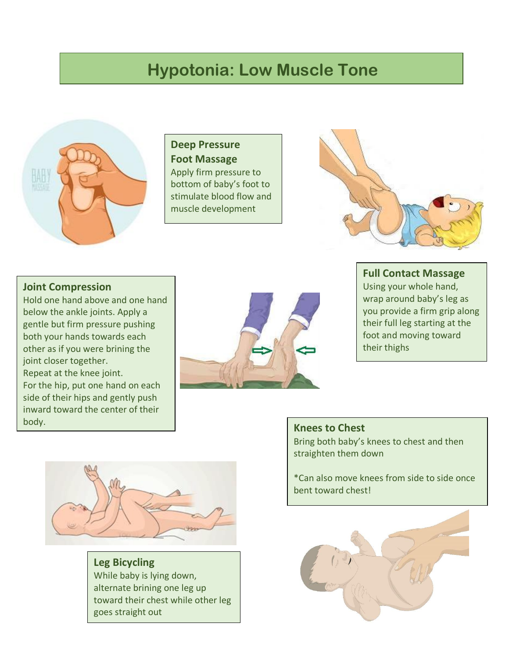# **Hypotonia: Low Muscle Tone**



**Deep Pressure Foot Massage**  Apply firm pressure to bottom of baby's foot to stimulate blood flow and muscle development



#### **Joint Compression**

Hold one hand above and one hand below the ankle joints. Apply a gentle but firm pressure pushing both your hands towards each other as if you were brining the joint closer together. Repeat at the knee joint. For the hip, put one hand on each side of their hips and gently push inward toward the center of their body.



#### **Full Contact Massage**

Using your whole hand, wrap around baby's leg as you provide a firm grip along their full leg starting at the foot and moving toward their thighs



**Leg Bicycling**  While baby is lying down, alternate brining one leg up toward their chest while other leg goes straight out

### **Knees to Chest**  Bring both baby's knees to chest and then straighten them down

\*Can also move knees from side to side once bent toward chest!